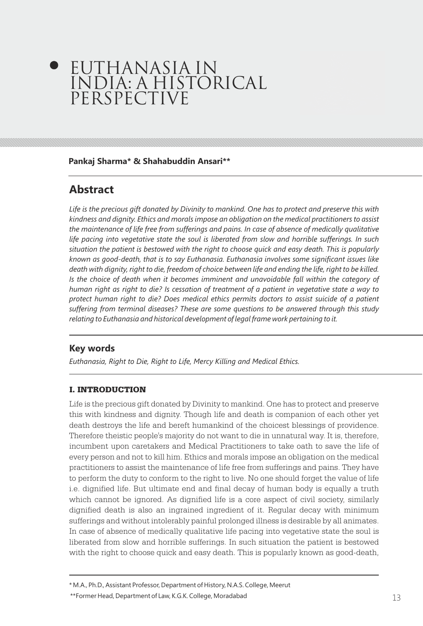# EUTHANASIA IN INDIA: A HISTORICAL PERSPECTIVE

#### **Pankaj Sharma\* & Shahabuddin Ansari\*\***

# **Abstract**

*Life is the precious gift donated by Divinity to mankind. One has to protect and preserve this with kindness and dignity. Ethics and morals impose an obligation on the medical practitioners to assist the maintenance of life free from sufferings and pains. In case of absence of medically qualitative life pacing into vegetative state the soul is liberated from slow and horrible sufferings. In such situation the patient is bestowed with the right to choose quick and easy death. This is popularly known as good-death, that is to say Euthanasia. Euthanasia involves some significant issues like death with dignity, right to die, freedom of choice between life and ending the life, right to be killed.*  Is the choice of death when it becomes imminent and unavoidable fall within the category of *human right as right to die? Is cessation of treatment of a patient in vegetative state a way to protect human right to die? Does medical ethics permits doctors to assist suicide of a patient suffering from terminal diseases? These are some questions to be answered through this study relating to Euthanasia and historical development of legal frame work pertaining to it.*

# **Key words**

*Euthanasia, Right to Die, Right to Life, Mercy Killing and Medical Ethics.*

## I. INTRODUCTION

Life is the precious gift donated by Divinity to mankind. One has to protect and preserve this with kindness and dignity. Though life and death is companion of each other yet death destroys the life and bereft humankind of the choicest blessings of providence. Therefore theistic people's majority do not want to die in unnatural way. It is, therefore, incumbent upon caretakers and Medical Practitioners to take oath to save the life of every person and not to kill him. Ethics and morals impose an obligation on the medical practitioners to assist the maintenance of life free from sufferings and pains. They have to perform the duty to conform to the right to live. No one should forget the value of life i.e. dignified life. But ultimate end and final decay of human body is equally a truth which cannot be ignored. As dignified life is a core aspect of civil society, similarly dignified death is also an ingrained ingredient of it. Regular decay with minimum sufferings and without intolerably painful prolonged illness is desirable by all animates. In case of absence of medically qualitative life pacing into vegetative state the soul is liberated from slow and horrible sufferings. In such situation the patient is bestowed with the right to choose quick and easy death. This is popularly known as good-death,

\* M.A., Ph.D., Assistant Professor, Department of History, N.A.S. College, Meerut

 $^{**}$ Former Head, Department of Law, K.G.K. College, Moradabad  $13\,$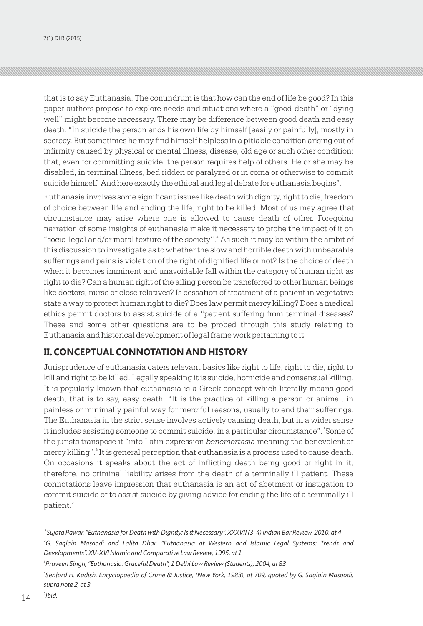that is to say Euthanasia. The conundrum is that how can the end of life be good? In this paper authors propose to explore needs and situations where a "good-death" or "dying well" might become necessary. There may be difference between good death and easy death. "In suicide the person ends his own life by himself [easily or painfully], mostly in secrecy. But sometimes he may find himself helpless in a pitiable condition arising out of infirmity caused by physical or mental illness, disease, old age or such other condition; that, even for committing suicide, the person requires help of others. He or she may be disabled, in terminal illness, bed ridden or paralyzed or in coma or otherwise to commit suicide himself. And here exactly the ethical and legal debate for euthanasia begins". $^{\rm 1}$ 

Euthanasia involves some significant issues like death with dignity, right to die, freedom of choice between life and ending the life, right to be killed. Most of us may agree that circumstance may arise where one is allowed to cause death of other. Foregoing narration of some insights of euthanasia make it necessary to probe the impact of it on "socio-legal and/or moral texture of the society". $^2$  As such it may be within the ambit of this discussion to investigate as to whether the slow and horrible death with unbearable sufferings and pains is violation of the right of dignified life or not? Is the choice of death when it becomes imminent and unavoidable fall within the category of human right as right to die? Can a human right of the ailing person be transferred to other human beings like doctors, nurse or close relatives? Is cessation of treatment of a patient in vegetative state a way to protect human right to die? Does law permit mercy killing? Does a medical ethics permit doctors to assist suicide of a "patient suffering from terminal diseases? These and some other questions are to be probed through this study relating to Euthanasia and historical development of legal frame work pertaining to it.

#### **II. CONCEPTUAL CONNOTATION AND HISTORY**

Jurisprudence of euthanasia caters relevant basics like right to life, right to die, right to kill and right to be killed. Legally speaking it is suicide, homicide and consensual killing. It is popularly known that euthanasia is a Greek concept which literally means good death, that is to say, easy death. "It is the practice of killing a person or animal, in painless or minimally painful way for merciful reasons, usually to end their sufferings. The Euthanasia in the strict sense involves actively causing death, but in a wider sense it includes assisting someone to commit suicide, in a particular circumstance".<sup>3</sup>Some of the jurists transpose it "into Latin expression *benemortasia* meaning the benevolent or mercy killing".<sup>4</sup> It is general perception that euthanasia is a process used to cause death. On occasions it speaks about the act of inflicting death being good or right in it, therefore, no criminal liability arises from the death of a terminally ill patient. These connotations leave impression that euthanasia is an act of abetment or instigation to commit suicide or to assist suicide by giving advice for ending the life of a terminally ill 5 patient.

*Developments", XV-XVI Islamic and Comparative Law Review, 1995, at 1*

*Ibid.* 15

 $5$ Ibid.

*<sup>1</sup> Sujata Pawar, "Euthanasia for Death with Dignity: Is it Necessary", XXXVII (3-4) Indian Bar Review, 2010, at 4 <sup>2</sup>G. Saqlain Masoodi and Lalita Dhar, "Euthanasia at Western and Islamic Legal Systems: Trends and* 

*<sup>3</sup> Praveen Singh, "Euthanasia: Graceful Death", 1 Delhi Law Review (Students), 2004, at 83*

*<sup>4</sup> Senford H. Kadish, Encyclopaedia of Crime & Justice, (New York, 1983), at 709, quoted by G. Saqlain Masoodi, supra note 2, at 3*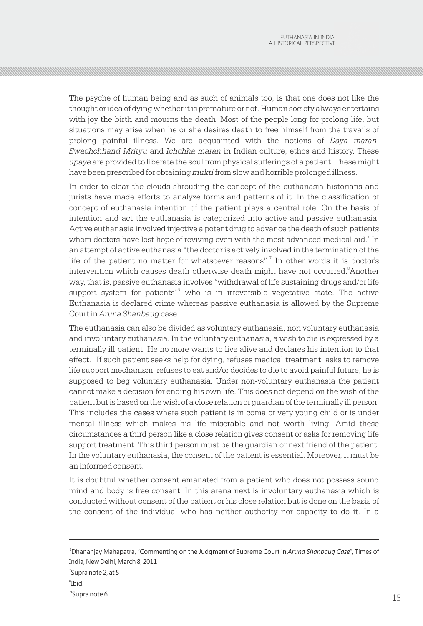The psyche of human being and as such of animals too, is that one does not like the thought or idea of dying whether it is premature or not. Human society always entertains with joy the birth and mourns the death. Most of the people long for prolong life, but situations may arise when he or she desires death to free himself from the travails of prolong painful illness. We are acquainted with the notions of *Daya maran*, *Swachchhand Mrityu* and *Ichchha maran* in Indian culture, ethos and history. These *upaye* are provided to liberate the soul from physical sufferings of a patient. These might have been prescribed for obtaining *mukti* from slow and horrible prolonged illness.

In order to clear the clouds shrouding the concept of the euthanasia historians and jurists have made efforts to analyze forms and patterns of it. In the classification of concept of euthanasia intention of the patient plays a central role. On the basis of intention and act the euthanasia is categorized into active and passive euthanasia. Active euthanasia involved injective a potent drug to advance the death of such patients whom doctors have lost hope of reviving even with the most advanced medical aid. In an attempt of active euthanasia "the doctor is actively involved in the termination of the life of the patient no matter for whatsoever reasons".<sup>7</sup> In other words it is doctor's intervention which causes death otherwise death might have not occurred.<sup>8</sup>Another way, that is, passive euthanasia involves "withdrawal of life sustaining drugs and/or life support system for patients"<sup>9</sup> who is in irreversible vegetative state. The active Euthanasia is declared crime whereas passive euthanasia is allowed by the Supreme Court in *Aruna Shanbaug* case.

The euthanasia can also be divided as voluntary euthanasia, non voluntary euthanasia and involuntary euthanasia. In the voluntary euthanasia, a wish to die is expressed by a terminally ill patient. He no more wants to live alive and declares his intention to that effect. If such patient seeks help for dying, refuses medical treatment, asks to remove life support mechanism, refuses to eat and/or decides to die to avoid painful future, he is supposed to beg voluntary euthanasia. Under non-voluntary euthanasia the patient cannot make a decision for ending his own life. This does not depend on the wish of the patient but is based on the wish of a close relation or guardian of the terminally ill person. This includes the cases where such patient is in coma or very young child or is under mental illness which makes his life miserable and not worth living. Amid these circumstances a third person like a close relation gives consent or asks for removing life support treatment. This third person must be the guardian or next friend of the patient. In the voluntary euthanasia, the consent of the patient is essential. Moreover, it must be an informed consent.

It is doubtful whether consent emanated from a patient who does not possess sound mind and body is free consent. In this arena next is involuntary euthanasia which is conducted without consent of the patient or his close relation but is done on the basis of the consent of the individual who has neither authority nor capacity to do it. In a

<sup>6</sup>Dhananjay Mahapatra, "Commenting on the Judgment of Supreme Court in *Aruna Shanbaug Case*", Times of India, New Delhi, March 8, 2011  $^7$ Supra note 2, at 5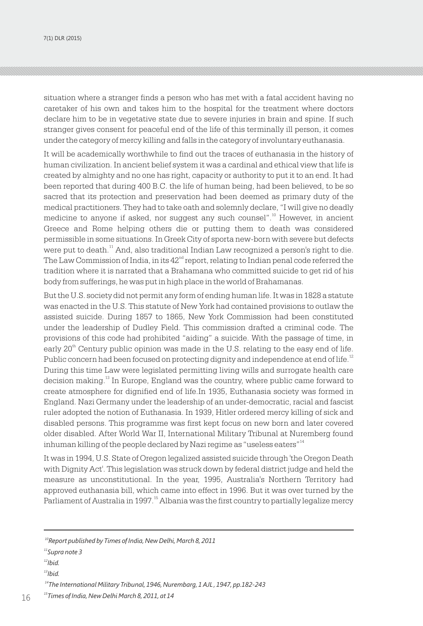7(1) DLR (2015)

situation where a stranger finds a person who has met with a fatal accident having no caretaker of his own and takes him to the hospital for the treatment where doctors declare him to be in vegetative state due to severe injuries in brain and spine. If such stranger gives consent for peaceful end of the life of this terminally ill person, it comes under the category of mercy killing and falls in the category of involuntary euthanasia.

It will be academically worthwhile to find out the traces of euthanasia in the history of human civilization. In ancient belief system it was a cardinal and ethical view that life is created by almighty and no one has right, capacity or authority to put it to an end. It had been reported that during 400 B.C. the life of human being, had been believed, to be so sacred that its protection and preservation had been deemed as primary duty of the medical practitioners. They had to take oath and solemnly declare, "I will give no deadly medicine to anyone if asked, nor suggest any such counsel".<sup>10</sup> However, in ancient Greece and Rome helping others die or putting them to death was considered permissible in some situations. In Greek City of sporta new-born with severe but defects were put to death.<sup>11</sup> And, also traditional Indian Law recognized a person's right to die. The Law Commission of India, in its  $42<sup>nd</sup>$  report, relating to Indian penal code referred the tradition where it is narrated that a Brahamana who committed suicide to get rid of his body from sufferings, he was put in high place in the world of Brahamanas.

But the U.S. society did not permit any form of ending human life. It was in 1828 a statute was enacted in the U.S. This statute of New York had contained provisions to outlaw the assisted suicide. During 1857 to 1865, New York Commission had been constituted under the leadership of Dudley Field. This commission drafted a criminal code. The provisions of this code had prohibited "aiding" a suicide. With the passage of time, in early  $20<sup>th</sup>$  Century public opinion was made in the U.S. relating to the easy end of life. Public concern had been focused on protecting dignity and independence at end of life.<sup>12</sup> During this time Law were legislated permitting living wills and surrogate health care decision making.<sup>13</sup> In Europe, England was the country, where public came forward to create atmosphere for dignified end of life.In 1935, Euthanasia society was formed in England. Nazi Germany under the leadership of an under-democratic, racial and fascist ruler adopted the notion of Euthanasia. In 1939, Hitler ordered mercy killing of sick and disabled persons. This programme was first kept focus on new born and later covered older disabled. After World War II, International Military Tribunal at Nuremberg found inhuman killing of the people declared by Nazi regime as "useless eaters"<sup>14</sup>

It was in 1994, U.S. State of Oregon legalized assisted suicide through 'the Oregon Death with Dignity Act'. This legislation was struck down by federal district judge and held the measure as unconstitutional. In the year, 1995, Australia's Northern Territory had approved euthanasia bill, which came into effect in 1996. But it was over turned by the Parliament of Australia in 1997.<sup>15</sup> Albania was the first country to partially legalize mercy

*<sup>10</sup>Report published by Times of India, New Delhi, March 8, 2011*

*<sup>11</sup>Supra note 3*

*<sup>12</sup>Ibid.*

*<sup>13</sup>Ibid.*

*<sup>14</sup>The International Military Tribunal, 1946, Nurembarg, 1 AJL , 1947, pp.182-243*

<sup>&</sup>lt;sup>15</sup> Times of India, New Delhi March 8, 2011, at 14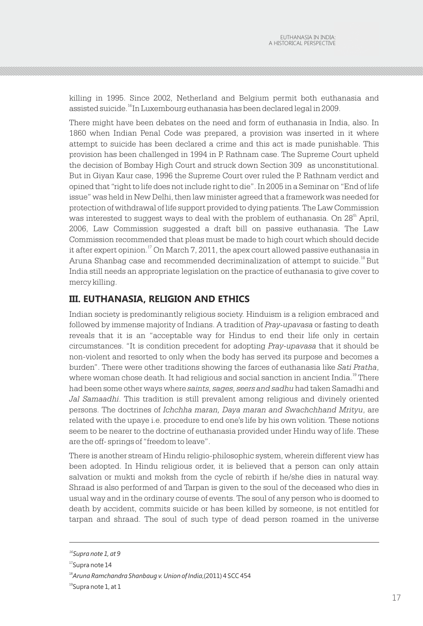killing in 1995. Since 2002, Netherland and Belgium permit both euthanasia and assisted suicide.<sup>16</sup>In Luxembourg euthanasia has been declared legal in 2009.

There might have been debates on the need and form of euthanasia in India, also. In 1860 when Indian Penal Code was prepared, a provision was inserted in it where attempt to suicide has been declared a crime and this act is made punishable. This provision has been challenged in 1994 in P. Rathnam case. The Supreme Court upheld the decision of Bombay High Court and struck down Section 309 as unconstitutional. But in Giyan Kaur case, 1996 the Supreme Court over ruled the P. Rathnam verdict and opined that "right to life does not include right to die". In 2005 in a Seminar on "End of life issue" was held in New Delhi, then law minister agreed that a framework was needed for protection of withdrawal of life support provided to dying patients. The Law Commission was interested to suggest ways to deal with the problem of euthanasia. On  $28<sup>th</sup>$  April, 2006, Law Commission suggested a draft bill on passive euthanasia. The Law Commission recommended that pleas must be made to high court which should decide it after expert opinion.<sup> $\alpha$ </sup> On March 7, 2011, the apex court allowed passive euthanasia in Aruna Shanbag case and recommended decriminalization of attempt to suicide.<sup>18</sup> But India still needs an appropriate legislation on the practice of euthanasia to give cover to mercy killing.

## **III. EUTHANASIA, RELIGION AND ETHICS**

Indian society is predominantly religious society. Hinduism is a religion embraced and followed by immense majority of Indians. A tradition of *Pray-upavasa* or fasting to death reveals that it is an "acceptable way for Hindus to end their life only in certain circumstances. "It is condition precedent for adopting *Pray-upavasa* that it should be non-violent and resorted to only when the body has served its purpose and becomes a burden". There were other traditions showing the farces of euthanasia like *Sati Pratha*, where woman chose death. It had religious and social sanction in ancient India.<sup>19</sup> There had been some other ways where *saints, sages, seers and sadhu* had taken Samadhi and *Jal Samaadhi*. This tradition is still prevalent among religious and divinely oriented persons. The doctrines of *Ichchha maran, Daya maran and Swachchhand Mrityu*, are related with the upaye i.e. procedure to end one's life by his own volition. These notions seem to be nearer to the doctrine of euthanasia provided under Hindu way of life. These are the off- springs of "freedom to leave".

There is another stream of Hindu religio-philosophic system, wherein different view has been adopted. In Hindu religious order, it is believed that a person can only attain salvation or mukti and moksh from the cycle of rebirth if he/she dies in natural way. Shraad is also performed of and Tarpan is given to the soul of the deceased who dies in usual way and in the ordinary course of events. The soul of any person who is doomed to death by accident, commits suicide or has been killed by someone, is not entitled for tarpan and shraad. The soul of such type of dead person roamed in the universe

*<sup>16</sup>Supra note 1, at 9*

<sup>&</sup>lt;sup>17</sup>Supra note 14

<sup>18</sup>*Aruna Ramchandra Shanbaug v. Union of India*,(2011) 4 SCC 454

 $^{19}$ Supra note 1, at 1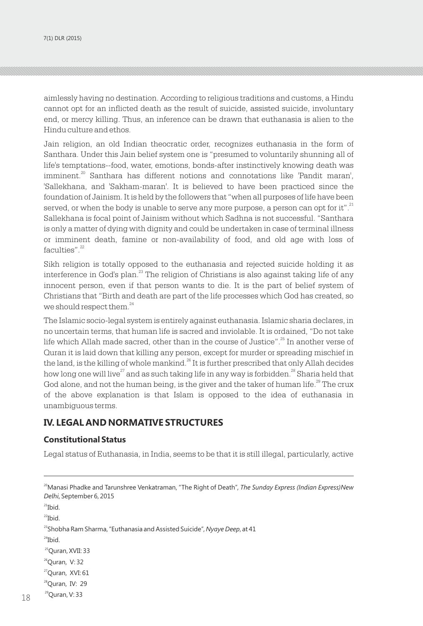aimlessly having no destination. According to religious traditions and customs, a Hindu cannot opt for an inflicted death as the result of suicide, assisted suicide, involuntary end, or mercy killing. Thus, an inference can be drawn that euthanasia is alien to the Hindu culture and ethos.

Jain religion, an old Indian theocratic order, recognizes euthanasia in the form of Santhara. Under this Jain belief system one is "presumed to voluntarily shunning all of life's temptations--food, water, emotions, bonds-after instinctively knowing death was imminent.<sup>20</sup> Santhara has different notions and connotations like 'Pandit maran', 'Sallekhana, and 'Sakham-maran'. It is believed to have been practiced since the foundation of Jainism. It is held by the followers that "when all purposes of life have been served, or when the body is unable to serve any more purpose, a person can opt for it". $^{\rm 21}$ Sallekhana is focal point of Jainism without which Sadhna is not successful. "Santhara is only a matter of dying with dignity and could be undertaken in case of terminal illness or imminent death, famine or non-availability of food, and old age with loss of  $faculties"$ . $22$ 

Sikh religion is totally opposed to the euthanasia and rejected suicide holding it as interference in God's plan.<sup>23</sup> The religion of Christians is also against taking life of any innocent person, even if that person wants to die. It is the part of belief system of Christians that "Birth and death are part of the life processes which God has created, so we should respect them. $24$ 

The Islamic socio-legal system is entirely against euthanasia. Islamic sharia declares, in no uncertain terms, that human life is sacred and inviolable. It is ordained, "Do not take life which Allah made sacred, other than in the course of Justice". $^{25}$  In another verse of Quran it is laid down that killing any person, except for murder or spreading mischief in the land, is the killing of whole mankind.<sup>26</sup> It is further prescribed that only Allah decides how long one will live<sup>27</sup> and as such taking life in any way is forbidden.<sup>28</sup> Sharia held that God alone, and not the human being, is the giver and the taker of human life.<sup>29</sup> The crux of the above explanation is that Islam is opposed to the idea of euthanasia in unambiguous terms.

## **IV. LEGAL AND NORMATIVE STRUCTURES**

#### **Constitutional Status**

Legal status of Euthanasia, in India, seems to be that it is still illegal, particularly, active

```
20Manasi Phadke and Tarunshree Venkatraman, "The Right of Death", The Sunday Express (Indian Express)New 
Delhi, September 6, 2015
```

```
21Ibid.
```

```
22Ibid.
```
<sup>23</sup>Shobha Ram Sharma, "Euthanasia and Assisted Suicide", Nyaye Deep, at 41

```
24Ibid.
```
<sup>25</sup>Ouran, XVII: 33

 $26$ Quran, V: 32

 $^{27}$ Quran, XVI: 61

<sup>28</sup>Quran, IV: 29

18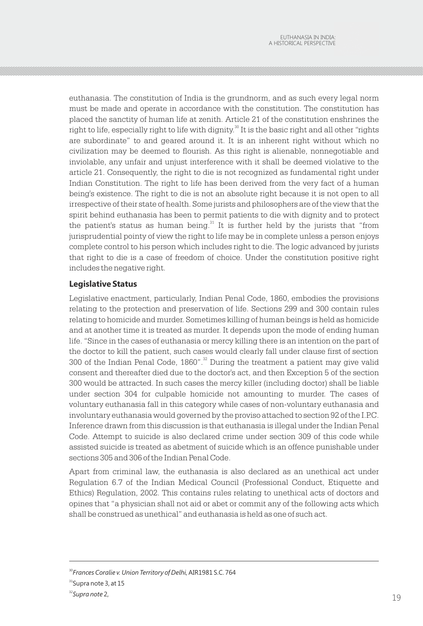euthanasia. The constitution of India is the grundnorm, and as such every legal norm must be made and operate in accordance with the constitution. The constitution has placed the sanctity of human life at zenith. Article 21 of the constitution enshrines the  $\alpha$  right to life, especially right to life with dignity. $\alpha$ <sup>30</sup> It is the basic right and all other "rights" are subordinate" to and geared around it. It is an inherent right without which no civilization may be deemed to flourish. As this right is alienable, nonnegotiable and inviolable, any unfair and unjust interference with it shall be deemed violative to the article 21. Consequently, the right to die is not recognized as fundamental right under Indian Constitution. The right to life has been derived from the very fact of a human being's existence. The right to die is not an absolute right because it is not open to all irrespective of their state of health. Some jurists and philosophers are of the view that the spirit behind euthanasia has been to permit patients to die with dignity and to protect the patient's status as human being.<sup>31</sup> It is further held by the jurists that "from jurisprudential pointy of view the right to life may be in complete unless a person enjoys complete control to his person which includes right to die. The logic advanced by jurists that right to die is a case of freedom of choice. Under the constitution positive right includes the negative right.

#### **Legislative Status**

Legislative enactment, particularly, Indian Penal Code, 1860, embodies the provisions relating to the protection and preservation of life. Sections 299 and 300 contain rules relating to homicide and murder. Sometimes killing of human beings is held as homicide and at another time it is treated as murder. It depends upon the mode of ending human life. "Since in the cases of euthanasia or mercy killing there is an intention on the part of the doctor to kill the patient, such cases would clearly fall under clause first of section 300 of the Indian Penal Code,  $1860''$ .<sup>32</sup> During the treatment a patient may give valid consent and thereafter died due to the doctor's act, and then Exception 5 of the section 300 would be attracted. In such cases the mercy killer (including doctor) shall be liable under section 304 for culpable homicide not amounting to murder. The cases of voluntary euthanasia fall in this category while cases of non-voluntary euthanasia and involuntary euthanasia would governed by the proviso attached to section 92 of the I.P.C. Inference drawn from this discussion is that euthanasia is illegal under the Indian Penal Code. Attempt to suicide is also declared crime under section 309 of this code while assisted suicide is treated as abetment of suicide which is an offence punishable under sections 305 and 306 of the Indian Penal Code.

Apart from criminal law, the euthanasia is also declared as an unethical act under Regulation 6.7 of the Indian Medical Council (Professional Conduct, Etiquette and Ethics) Regulation, 2002. This contains rules relating to unethical acts of doctors and opines that "a physician shall not aid or abet or commit any of the following acts which shall be construed as unethical" and euthanasia is held as one of such act.

<sup>30</sup>*Frances Coralie v. Union Territory of Delhi*, AIR1981 S.C. 764

<sup>&</sup>lt;sup>31</sup>Supra note 3, at 15

<sup>32</sup>*Supra note* 2,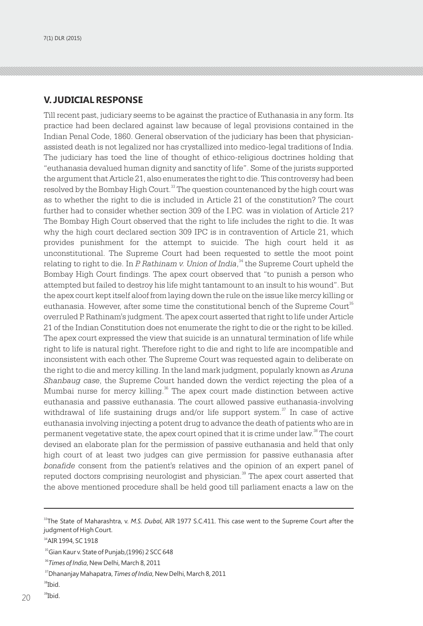#### **V. JUDICIAL RESPONSE**

Till recent past, judiciary seems to be against the practice of Euthanasia in any form. Its practice had been declared against law because of legal provisions contained in the Indian Penal Code, 1860. General observation of the judiciary has been that physicianassisted death is not legalized nor has crystallized into medico-legal traditions of India. The judiciary has toed the line of thought of ethico-religious doctrines holding that "euthanasia devalued human dignity and sanctity of life". Some of the jurists supported the argument that Article 21, also enumerates the right to die. This controversy had been resolved by the Bombay High Court.<sup>33</sup> The question countenanced by the high court was as to whether the right to die is included in Article 21 of the constitution? The court further had to consider whether section 309 of the I.P.C. was in violation of Article 21? The Bombay High Court observed that the right to life includes the right to die. It was why the high court declared section 309 IPC is in contravention of Article 21, which provides punishment for the attempt to suicide. The high court held it as unconstitutional. The Supreme Court had been requested to settle the moot point <sup>34</sup> relating to right to die. In *P. Rathinam v. Union of India*, the Supreme Court upheld the Bombay High Court findings. The apex court observed that "to punish a person who attempted but failed to destroy his life might tantamount to an insult to his wound". But the apex court kept itself aloof from laying down the rule on the issue like mercy killing or euthanasia. However, after some time the constitutional bench of the Supreme Court<sup>35</sup> overruled P. Rathinam's judgment. The apex court asserted that right to life under Article 21 of the Indian Constitution does not enumerate the right to die or the right to be killed. The apex court expressed the view that suicide is an unnatural termination of life while right to life is natural right. Therefore right to die and right to life are incompatible and inconsistent with each other. The Supreme Court was requested again to deliberate on the right to die and mercy killing. In the land mark judgment, popularly known as *Aruna Shanbaug case*, the Supreme Court handed down the verdict rejecting the plea of a Mumbai nurse for mercy killing.<sup>36</sup> The apex court made distinction between active euthanasia and passive euthanasia. The court allowed passive euthanasia-involving withdrawal of life sustaining drugs and/or life support system. $\alpha$ <sup>n</sup> In case of active euthanasia involving injecting a potent drug to advance the death of patients who are in permanent vegetative state, the apex court opined that it is crime under law. $^{\text{\tiny{38}}}$  The court devised an elaborate plan for the permission of passive euthanasia and held that only high court of at least two judges can give permission for passive euthanasia after *bonafide* consent from the patient's relatives and the opinion of an expert panel of reputed doctors comprising neurologist and physician.<sup>39</sup> The apex court asserted that the above mentioned procedure shall be held good till parliament enacts a law on the

 $3<sup>3</sup>$ Ibid.

<sup>33</sup>The State of Maharashtra, v. *M.S. Dubal*, AIR 1977 S.C.411. This case went to the Supreme Court after the judgment of High Court.

<sup>&</sup>lt;sup>34</sup>AIR 1994, SC 1918

<sup>&</sup>lt;sup>35</sup>Gian Kaur v. State of Punjab, (1996) 2 SCC 648

<sup>36</sup>*Times of India*, New Delhi, March 8, 2011

<sup>37</sup>Dhananjay Mahapatra, *Times of India*, New Delhi, March 8, 2011

<sup>38</sup>Ibid.